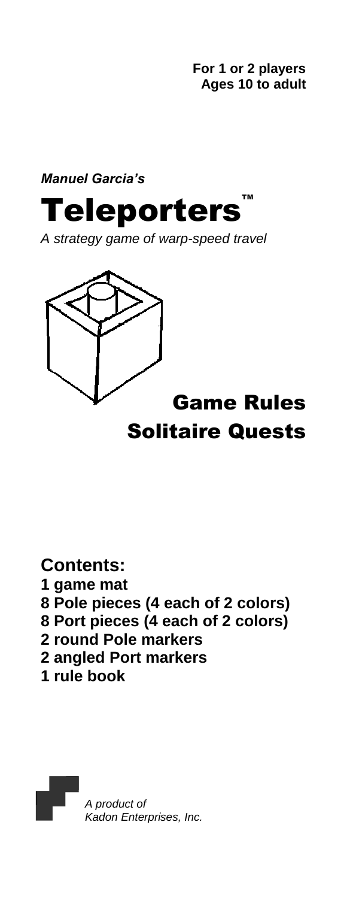**For 1 or 2 players Ages 10 to adult**

*Manuel Garcia's*

Teleporters

*A strategy game of warp-speed travel*



# Game Rules Solitaire Quests

**Contents:** 

- **1 game mat**
- **8 Pole pieces (4 each of 2 colors)**
- **8 Port pieces (4 each of 2 colors)**
- **2 round Pole markers**
- **2 angled Port markers**
- **1 rule book**

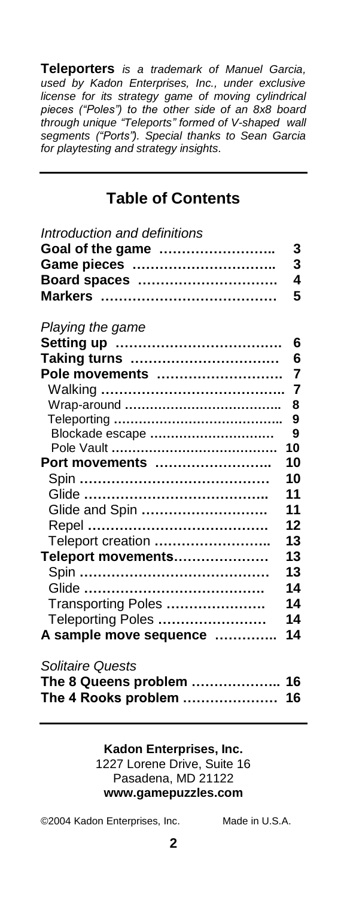**Teleporters** *is a trademark of Manuel Garcia, used by Kadon Enterprises, Inc., under exclusive license for its strategy game of moving cylindrical pieces ("Poles") to the other side of an 8x8 board through unique "Teleports" formed of V-shaped wall segments ("Ports"). Special thanks to Sean Garcia for playtesting and strategy insights.*

### **Table of Contents**

| Introduction and definitions |                |
|------------------------------|----------------|
| Goal of the game             | 3              |
| Game pieces                  | 3              |
| Board spaces                 | 4              |
|                              | 5              |
| Playing the game             |                |
|                              | 6              |
| Taking turns                 | 6              |
| Pole movements               | $\overline{7}$ |
|                              | $\overline{7}$ |
|                              | 8              |
|                              | 9              |
| Blockade escape              | 9              |
|                              | 10             |
| Port movements               | 10             |
|                              | 10             |
|                              | 11             |
| Glide and Spin               | 11             |
|                              | 12             |
| Teleport creation            | 13             |
| Teleport movements           | 13             |
|                              | 13             |
|                              | 14             |
| Transporting Poles           | 14             |
| Teleporting Poles            | 14             |
| A sample move sequence       | 14             |
| <b>Solitaire Quests</b>      |                |
| The 8 Queens problem  16     |                |
| The 4 Rooks problem  16      |                |

#### **Kadon Enterprises, Inc.** 1227 Lorene Drive, Suite 16 Pasadena, MD 21122 **www.gamepuzzles.com**

©2004 Kadon Enterprises, Inc. Made in U.S.A.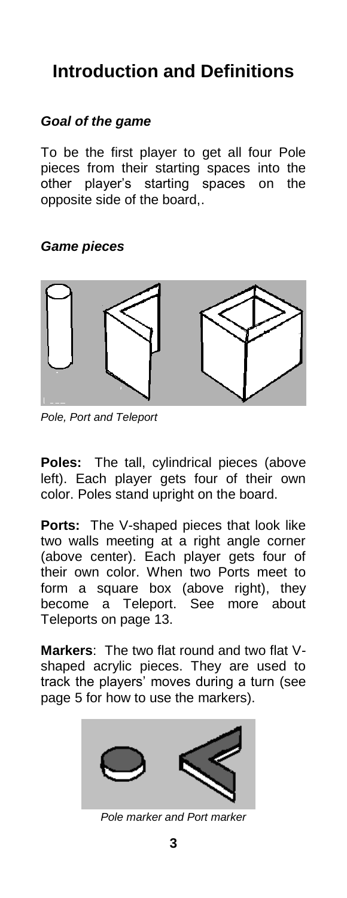# **Introduction and Definitions**

## *Goal of the game*

To be the first player to get all four Pole pieces from their starting spaces into the other player's starting spaces on the opposite side of the board,.

*Game pieces*



*Pole, Port and Teleport*

**Poles:** The tall, cylindrical pieces (above left). Each player gets four of their own color. Poles stand upright on the board.

**Ports:** The V-shaped pieces that look like two walls meeting at a right angle corner (above center). Each player gets four of their own color. When two Ports meet to form a square box (above right), they become a Teleport. See more about Teleports on page 13.

**Markers**: The two flat round and two flat Vshaped acrylic pieces. They are used to track the players' moves during a turn (see page 5 for how to use the markers).



*Pole marker and Port marker*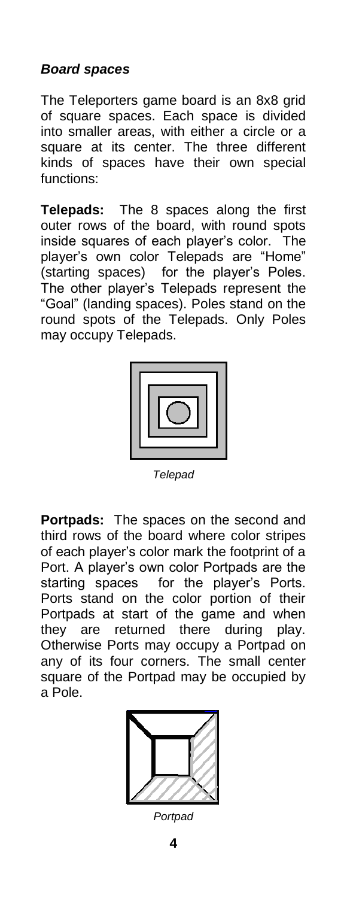### *Board spaces*

The Teleporters game board is an 8x8 grid of square spaces. Each space is divided into smaller areas, with either a circle or a square at its center. The three different kinds of spaces have their own special functions:

**Telepads:** The 8 spaces along the first outer rows of the board, with round spots inside squares of each player's color. The player's own color Telepads are "Home" (starting spaces) for the player's Poles. The other player's Telepads represent the "Goal" (landing spaces). Poles stand on the round spots of the Telepads. Only Poles may occupy Telepads.



*Telepad*

**Portpads:** The spaces on the second and third rows of the board where color stripes of each player's color mark the footprint of a Port. A player's own color Portpads are the starting spaces for the player's Ports. Ports stand on the color portion of their Portpads at start of the game and when they are returned there during play. Otherwise Ports may occupy a Portpad on any of its four corners. The small center square of the Portpad may be occupied by a Pole.



*Portpad*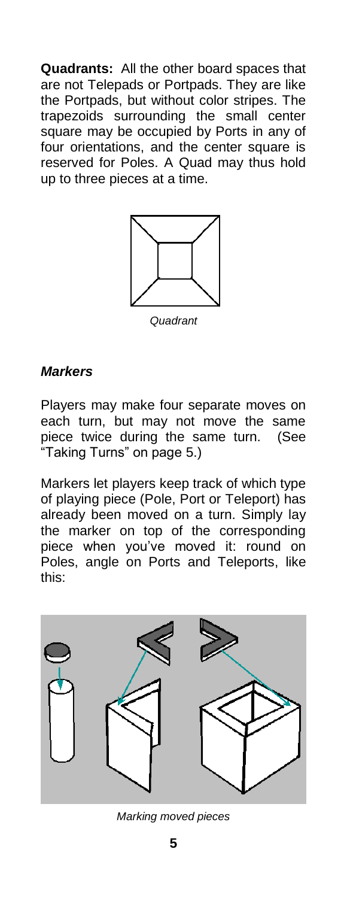**Quadrants:** All the other board spaces that are not Telepads or Portpads. They are like the Portpads, but without color stripes. The trapezoids surrounding the small center square may be occupied by Ports in any of four orientations, and the center square is reserved for Poles. A Quad may thus hold up to three pieces at a time.



*Quadrant*

#### *Markers*

Players may make four separate moves on each turn, but may not move the same piece twice during the same turn. (See "Taking Turns" on page 5.)

Markers let players keep track of which type of playing piece (Pole, Port or Teleport) has already been moved on a turn. Simply lay the marker on top of the corresponding piece when you've moved it: round on Poles, angle on Ports and Teleports, like this:



*Marking moved pieces*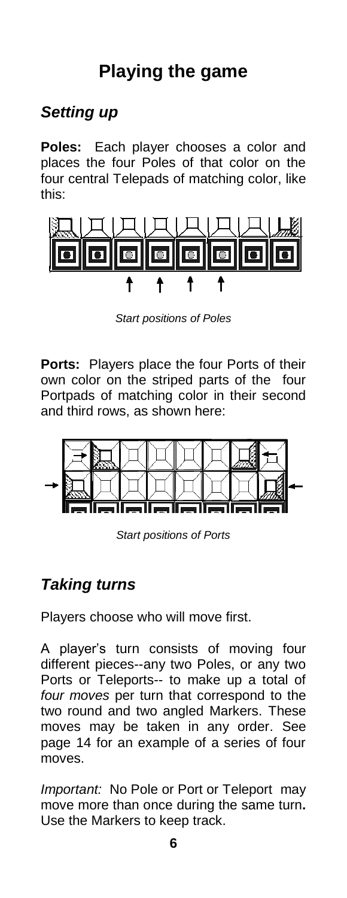# **Playing the game**

# *Setting up*

**Poles:** Each player chooses a color and places the four Poles of that color on the four central Telepads of matching color, like this:



*Start positions of Poles*

**Ports:** Players place the four Ports of their own color on the striped parts of the four Portpads of matching color in their second and third rows, as shown here:



*Start positions of Ports*

# *Taking turns*

Players choose who will move first.

A player's turn consists of moving four different pieces--any two Poles, or any two Ports or Teleports-- to make up a total of *four moves* per turn that correspond to the two round and two angled Markers. These moves may be taken in any order. See page 14 for an example of a series of four moves.

*Important:* No Pole or Port or Teleport may move more than once during the same turn**.** Use the Markers to keep track.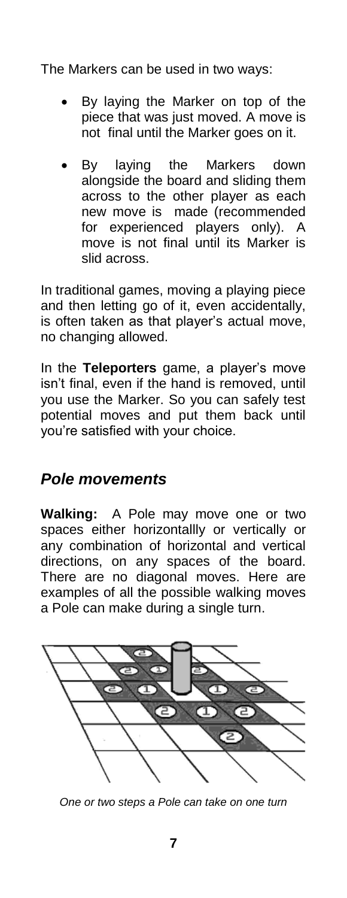The Markers can be used in two ways:

- By laying the Marker on top of the piece that was just moved. A move is not final until the Marker goes on it.
- By laying the Markers down alongside the board and sliding them across to the other player as each new move is made (recommended for experienced players only). A move is not final until its Marker is slid across.

In traditional games, moving a playing piece and then letting go of it, even accidentally, is often taken as that player's actual move, no changing allowed.

In the **Teleporters** game, a player's move isn't final, even if the hand is removed, until you use the Marker. So you can safely test potential moves and put them back until you're satisfied with your choice.

## *Pole movements*

**Walking:** A Pole may move one or two spaces either horizontallly or vertically or any combination of horizontal and vertical directions, on any spaces of the board. There are no diagonal moves. Here are examples of all the possible walking moves a Pole can make during a single turn.



*One or two steps a Pole can take on one turn*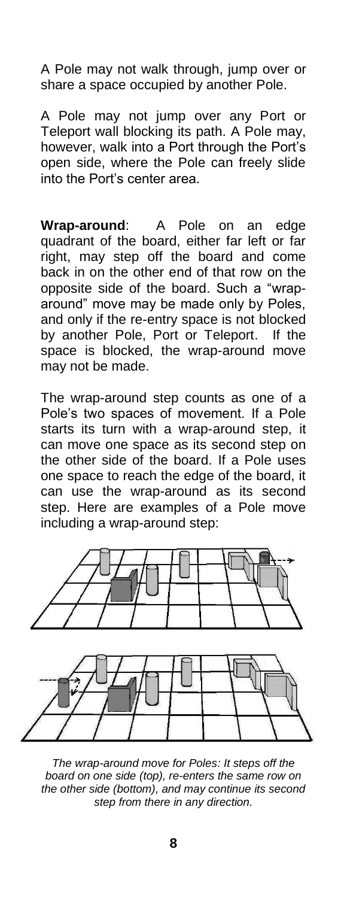A Pole may not walk through, jump over or share a space occupied by another Pole.

A Pole may not jump over any Port or Teleport wall blocking its path. A Pole may, however, walk into a Port through the Port's open side, where the Pole can freely slide into the Port's center area.

**Wrap-around**: A Pole on an edge quadrant of the board, either far left or far right, may step off the board and come back in on the other end of that row on the opposite side of the board. Such a "wraparound" move may be made only by Poles, and only if the re-entry space is not blocked by another Pole, Port or Teleport. If the space is blocked, the wrap-around move may not be made.

The wrap-around step counts as one of a Pole's two spaces of movement. If a Pole starts its turn with a wrap-around step, it can move one space as its second step on the other side of the board. If a Pole uses one space to reach the edge of the board, it can use the wrap-around as its second step. Here are examples of a Pole move including a wrap-around step:



*The wrap-around move for Poles: It steps off the board on one side (top), re-enters the same row on the other side (bottom), and may continue its second step from there in any direction.*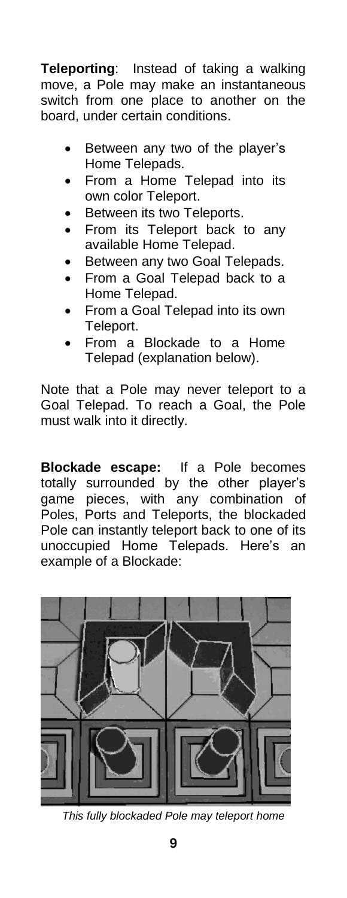**Teleporting**: Instead of taking a walking move, a Pole may make an instantaneous switch from one place to another on the board, under certain conditions.

- Between any two of the player's Home Telepads.
- From a Home Telepad into its own color Teleport.
- Between its two Teleports.
- From its Teleport back to any available Home Telepad.
- Between any two Goal Telepads.
- From a Goal Telepad back to a Home Telepad.
- From a Goal Telepad into its own Teleport.
- From a Blockade to a Home Telepad (explanation below).

Note that a Pole may never teleport to a Goal Telepad. To reach a Goal, the Pole must walk into it directly.

**Blockade escape:** If a Pole becomes totally surrounded by the other player's game pieces, with any combination of Poles, Ports and Teleports, the blockaded Pole can instantly teleport back to one of its unoccupied Home Telepads. Here's an example of a Blockade:



*This fully blockaded Pole may teleport home*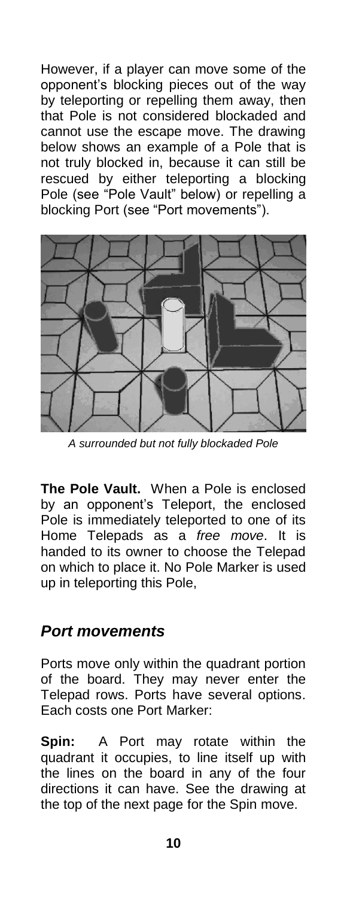However, if a player can move some of the opponent's blocking pieces out of the way by teleporting or repelling them away, then that Pole is not considered blockaded and cannot use the escape move. The drawing below shows an example of a Pole that is not truly blocked in, because it can still be rescued by either teleporting a blocking Pole (see "Pole Vault" below) or repelling a blocking Port (see "Port movements").



*A surrounded but not fully blockaded Pole*

**The Pole Vault.** When a Pole is enclosed by an opponent's Teleport, the enclosed Pole is immediately teleported to one of its Home Telepads as a *free move*. It is handed to its owner to choose the Telepad on which to place it. No Pole Marker is used up in teleporting this Pole,

## *Port movements*

Ports move only within the quadrant portion of the board. They may never enter the Telepad rows. Ports have several options. Each costs one Port Marker:

**Spin:** A Port may rotate within the quadrant it occupies, to line itself up with the lines on the board in any of the four directions it can have. See the drawing at the top of the next page for the Spin move.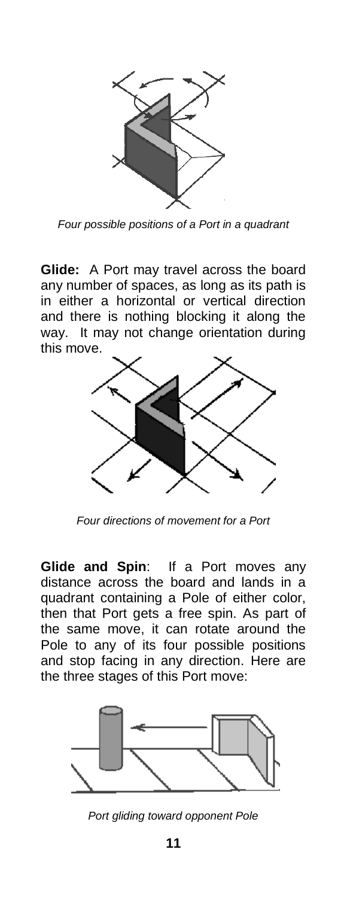

*Four possible positions of a Port in a quadrant*

**Glide:** A Port may travel across the board any number of spaces, as long as its path is in either a horizontal or vertical direction and there is nothing blocking it along the way. It may not change orientation during this move.



*Four directions of movement for a Port*

**Glide and Spin**: If a Port moves any distance across the board and lands in a quadrant containing a Pole of either color, then that Port gets a free spin. As part of the same move, it can rotate around the Pole to any of its four possible positions and stop facing in any direction. Here are the three stages of this Port move:



*Port gliding toward opponent Pole*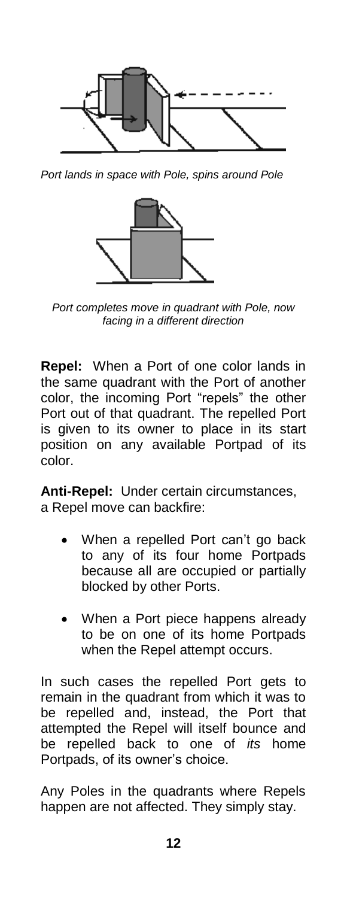

*Port lands in space with Pole, spins around Pole*



*Port completes move in quadrant with Pole, now facing in a different direction*

**Repel:** When a Port of one color lands in the same quadrant with the Port of another color, the incoming Port "repels" the other Port out of that quadrant. The repelled Port is given to its owner to place in its start position on any available Portpad of its color.

**Anti-Repel:** Under certain circumstances, a Repel move can backfire:

- When a repelled Port can't go back to any of its four home Portpads because all are occupied or partially blocked by other Ports.
- When a Port piece happens already to be on one of its home Portpads when the Repel attempt occurs.

In such cases the repelled Port gets to remain in the quadrant from which it was to be repelled and, instead, the Port that attempted the Repel will itself bounce and be repelled back to one of *its* home Portpads, of its owner's choice.

Any Poles in the quadrants where Repels happen are not affected. They simply stay.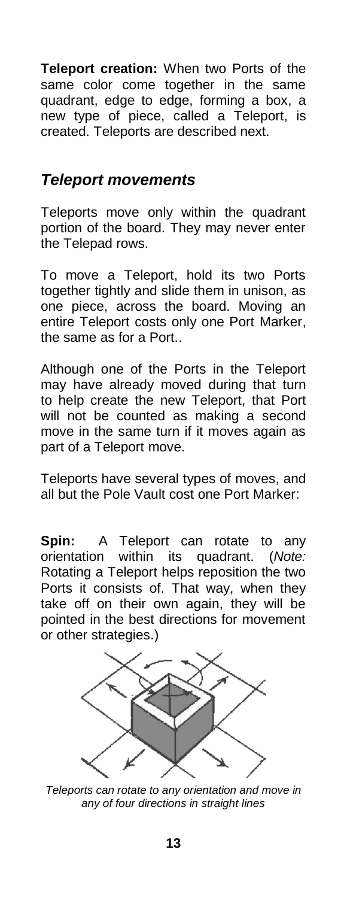**Teleport creation:** When two Ports of the same color come together in the same quadrant, edge to edge, forming a box, a new type of piece, called a Teleport, is created. Teleports are described next.

## *Teleport movements*

Teleports move only within the quadrant portion of the board. They may never enter the Telepad rows.

To move a Teleport, hold its two Ports together tightly and slide them in unison, as one piece, across the board. Moving an entire Teleport costs only one Port Marker, the same as for a Port..

Although one of the Ports in the Teleport may have already moved during that turn to help create the new Teleport, that Port will not be counted as making a second move in the same turn if it moves again as part of a Teleport move.

Teleports have several types of moves, and all but the Pole Vault cost one Port Marker:

**Spin:** A Teleport can rotate to any orientation within its quadrant. (*Note:* Rotating a Teleport helps reposition the two Ports it consists of. That way, when they take off on their own again, they will be pointed in the best directions for movement or other strategies.)



*Teleports can rotate to any orientation and move in any of four directions in straight lines*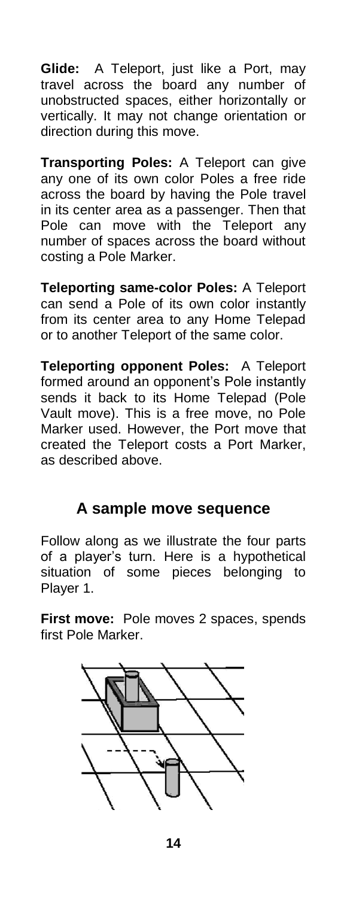**Glide:** A Teleport, just like a Port, may travel across the board any number of unobstructed spaces, either horizontally or vertically. It may not change orientation or direction during this move.

**Transporting Poles:** A Teleport can give any one of its own color Poles a free ride across the board by having the Pole travel in its center area as a passenger. Then that Pole can move with the Teleport any number of spaces across the board without costing a Pole Marker.

**Teleporting same-color Poles:** A Teleport can send a Pole of its own color instantly from its center area to any Home Telepad or to another Teleport of the same color.

**Teleporting opponent Poles:** A Teleport formed around an opponent's Pole instantly sends it back to its Home Telepad (Pole Vault move). This is a free move, no Pole Marker used. However, the Port move that created the Teleport costs a Port Marker, as described above.

# **A sample move sequence**

Follow along as we illustrate the four parts of a player's turn. Here is a hypothetical situation of some pieces belonging to Player 1.

**First move:** Pole moves 2 spaces, spends first Pole Marker.



**14**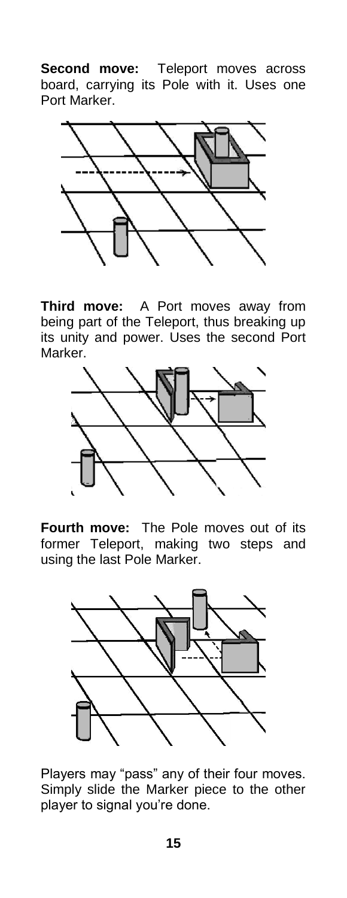**Second move:** Teleport moves across board, carrying its Pole with it. Uses one Port Marker.



**Third move:** A Port moves away from being part of the Teleport, thus breaking up its unity and power. Uses the second Port Marker.



**Fourth move:** The Pole moves out of its former Teleport, making two steps and using the last Pole Marker.



Players may "pass" any of their four moves. Simply slide the Marker piece to the other player to signal you're done.